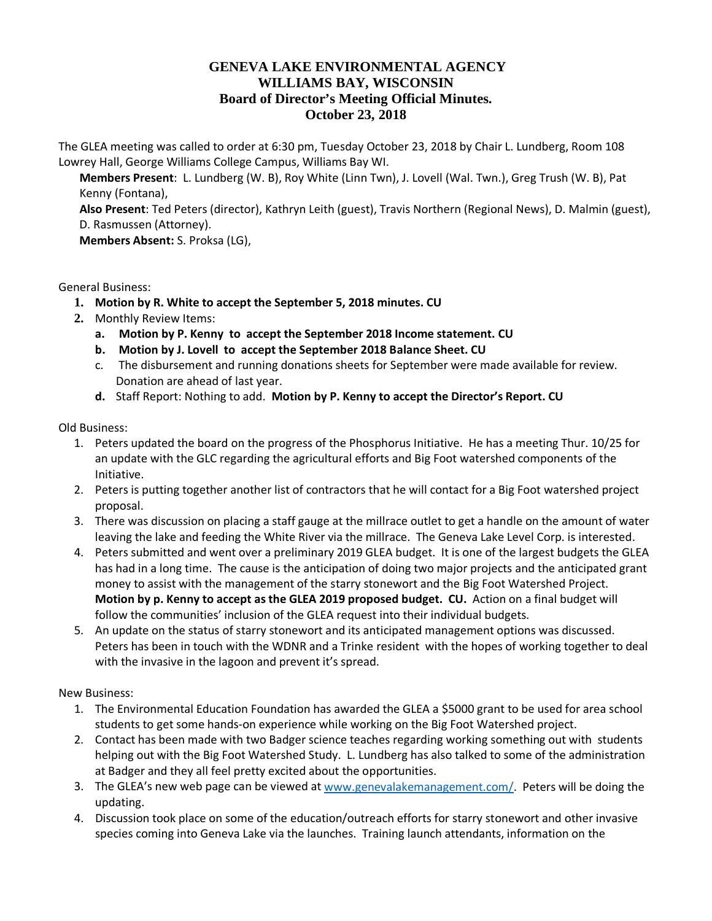## **GENEVA LAKE ENVIRONMENTAL AGENCY WILLIAMS BAY, WISCONSIN Board of Director's Meeting Official Minutes. October 23, 2018**

The GLEA meeting was called to order at 6:30 pm, Tuesday October 23, 2018 by Chair L. Lundberg, Room 108 Lowrey Hall, George Williams College Campus, Williams Bay WI.

**Members Present**: L. Lundberg (W. B), Roy White (Linn Twn), J. Lovell (Wal. Twn.), Greg Trush (W. B), Pat Kenny (Fontana),

**Also Present**: Ted Peters (director), Kathryn Leith (guest), Travis Northern (Regional News), D. Malmin (guest), D. Rasmussen (Attorney).

**Members Absent:** S. Proksa (LG),

## General Business:

- **1. Motion by R. White to accept the September 5, 2018 minutes. CU**
- **2.** Monthly Review Items:
	- **a. Motion by P. Kenny to accept the September 2018 Income statement. CU**
	- **b. Motion by J. Lovell to accept the September 2018 Balance Sheet. CU**
	- c. The disbursement and running donations sheets for September were made available for review. Donation are ahead of last year.
	- **d.** Staff Report: Nothing to add. **Motion by P. Kenny to accept the Director's Report. CU**

Old Business:

- 1. Peters updated the board on the progress of the Phosphorus Initiative. He has a meeting Thur. 10/25 for an update with the GLC regarding the agricultural efforts and Big Foot watershed components of the Initiative.
- 2. Peters is putting together another list of contractors that he will contact for a Big Foot watershed project proposal.
- 3. There was discussion on placing a staff gauge at the millrace outlet to get a handle on the amount of water leaving the lake and feeding the White River via the millrace. The Geneva Lake Level Corp. is interested.
- 4. Peters submitted and went over a preliminary 2019 GLEA budget. It is one of the largest budgets the GLEA has had in a long time. The cause is the anticipation of doing two major projects and the anticipated grant money to assist with the management of the starry stonewort and the Big Foot Watershed Project. **Motion by p. Kenny to accept as the GLEA 2019 proposed budget. CU.** Action on a final budget will follow the communities' inclusion of the GLEA request into their individual budgets.
- 5. An update on the status of starry stonewort and its anticipated management options was discussed. Peters has been in touch with the WDNR and a Trinke resident with the hopes of working together to deal with the invasive in the lagoon and prevent it's spread.

## New Business:

- 1. The Environmental Education Foundation has awarded the GLEA a \$5000 grant to be used for area school students to get some hands-on experience while working on the Big Foot Watershed project.
- 2. Contact has been made with two Badger science teaches regarding working something out with students helping out with the Big Foot Watershed Study. L. Lundberg has also talked to some of the administration at Badger and they all feel pretty excited about the opportunities.
- 3. The GLEA's new web page can be viewed at [www.genevalakemanagement.com/.](http://www.genevalakemanagement.com/) Peters will be doing the updating.
- 4. Discussion took place on some of the education/outreach efforts for starry stonewort and other invasive species coming into Geneva Lake via the launches. Training launch attendants, information on the